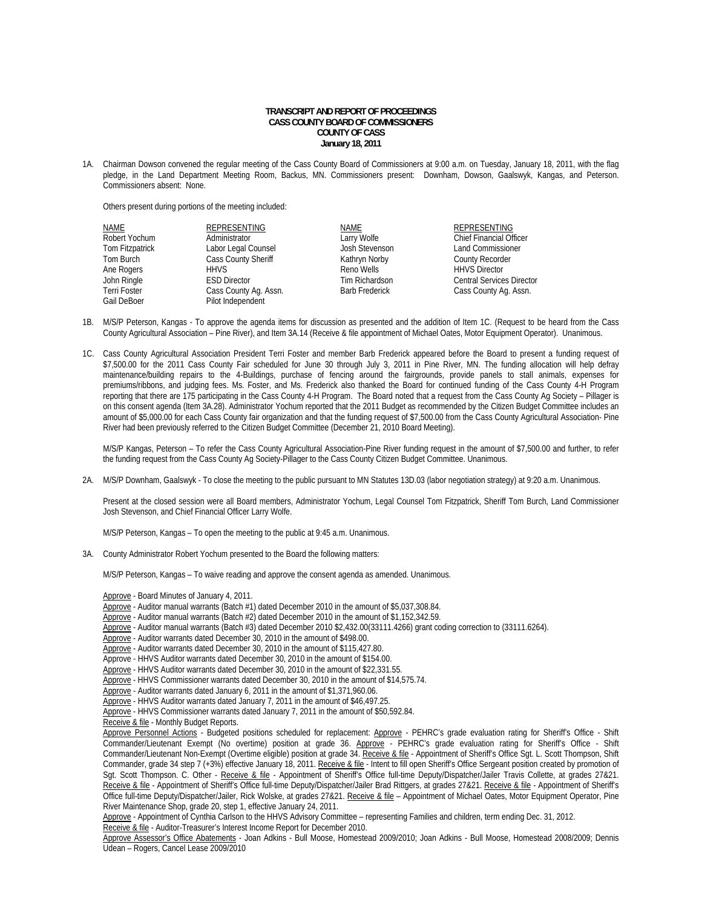## **TRANSCRIPT AND REPORT OF PROCEEDINGS CASS COUNTY BOARD OF COMMISSIONERS COUNTY OF CASS January 18, 2011**

1A. Chairman Dowson convened the regular meeting of the Cass County Board of Commissioners at 9:00 a.m. on Tuesday, January 18, 2011, with the flag pledge, in the Land Department Meeting Room, Backus, MN. Commissioners present: Downham, Dowson, Gaalswyk, Kangas, and Peterson. Commissioners absent: None.

Others present during portions of the meeting included:

| NAME            | REPRESENTING          | NAME                  | <b>REPRESENTING</b>              |
|-----------------|-----------------------|-----------------------|----------------------------------|
| Robert Yochum   | Administrator         | Larry Wolfe           | <b>Chief Financial Officer</b>   |
| Tom Fitzpatrick | Labor Legal Counsel   | Josh Stevenson        | <b>Land Commissioner</b>         |
| Tom Burch       | Cass County Sheriff   | Kathryn Norby         | County Recorder                  |
| Ane Rogers      | <b>HHVS</b>           | Reno Wells            | <b>HHVS Director</b>             |
| John Ringle     | <b>ESD Director</b>   | Tim Richardson        | <b>Central Services Director</b> |
| Terri Foster    | Cass County Ag. Assn. | <b>Barb Frederick</b> | Cass County Ag. Assn.            |
| Gail DeBoer     | Pilot Independent     |                       |                                  |

- 1B. M/S/P Peterson, Kangas To approve the agenda items for discussion as presented and the addition of Item 1C. (Request to be heard from the Cass County Agricultural Association – Pine River), and Item 3A.14 (Receive & file appointment of Michael Oates, Motor Equipment Operator). Unanimous.
- 1C. Cass County Agricultural Association President Terri Foster and member Barb Frederick appeared before the Board to present a funding request of \$7,500.00 for the 2011 Cass County Fair scheduled for June 30 through July 3, 2011 in Pine River, MN. The funding allocation will help defray maintenance/building repairs to the 4-Buildings, purchase of fencing around the fairgrounds, provide panels to stall animals, expenses for premiums/ribbons, and judging fees. Ms. Foster, and Ms. Frederick also thanked the Board for continued funding of the Cass County 4-H Program reporting that there are 175 participating in the Cass County 4-H Program. The Board noted that a request from the Cass County Ag Society – Pillager is on this consent agenda (Item 3A.28). Administrator Yochum reported that the 2011 Budget as recommended by the Citizen Budget Committee includes an amount of \$5,000.00 for each Cass County fair organization and that the funding request of \$7,500.00 from the Cass County Agricultural Association- Pine River had been previously referred to the Citizen Budget Committee (December 21, 2010 Board Meeting).

M/S/P Kangas, Peterson – To refer the Cass County Agricultural Association-Pine River funding request in the amount of \$7,500.00 and further, to refer the funding request from the Cass County Ag Society-Pillager to the Cass County Citizen Budget Committee. Unanimous.

2A. M/S/P Downham, Gaalswyk - To close the meeting to the public pursuant to MN Statutes 13D.03 (labor negotiation strategy) at 9:20 a.m. Unanimous.

 Present at the closed session were all Board members, Administrator Yochum, Legal Counsel Tom Fitzpatrick, Sheriff Tom Burch, Land Commissioner Josh Stevenson, and Chief Financial Officer Larry Wolfe.

M/S/P Peterson, Kangas – To open the meeting to the public at 9:45 a.m. Unanimous.

3A. County Administrator Robert Yochum presented to the Board the following matters:

M/S/P Peterson, Kangas – To waive reading and approve the consent agenda as amended. Unanimous.

Approve - Board Minutes of January 4, 2011.

- Approve Auditor manual warrants (Batch #1) dated December 2010 in the amount of \$5,037,308.84.
- Approve Auditor manual warrants (Batch #2) dated December 2010 in the amount of \$1,152,342.59.
- Approve Auditor manual warrants (Batch #3) dated December 2010 \$2,432.00(33111.4266) grant coding correction to (33111.6264).
- Approve Auditor warrants dated December 30, 2010 in the amount of \$498.00.
- Approve Auditor warrants dated December 30, 2010 in the amount of \$115,427.80.
- Approve HHVS Auditor warrants dated December 30, 2010 in the amount of \$154.00.
- Approve HHVS Auditor warrants dated December 30, 2010 in the amount of \$22,331.55.
- Approve HHVS Commissioner warrants dated December 30, 2010 in the amount of \$14,575.74.
- Approve Auditor warrants dated January 6, 2011 in the amount of \$1,371,960.06.
- Approve HHVS Auditor warrants dated January 7, 2011 in the amount of \$46,497.25.
- Approve HHVS Commissioner warrants dated January 7, 2011 in the amount of \$50,592.84.
- Receive & file Monthly Budget Reports.

Approve Personnel Actions - Budgeted positions scheduled for replacement: Approve - PEHRC's grade evaluation rating for Sheriff's Office - Shift Commander/Lieutenant Exempt (No overtime) position at grade 36. Approve - PEHRC's grade evaluation rating for Sheriff's Office - Shift Commander/Lieutenant Non-Exempt (Overtime eligible) position at grade 34. Receive & file - Appointment of Sheriff's Office Sgt. L. Scott Thompson, Shift Commander, grade 34 step 7 (+3%) effective January 18, 2011. Receive & file - Intent to fill open Sheriff's Office Sergeant position created by promotion of Sgt. Scott Thompson. C. Other - Receive & file - Appointment of Sheriff's Office full-time Deputy/Dispatcher/Jailer Travis Collette, at grades 27&21. Receive & file - Appointment of Sheriff's Office full-time Deputy/Dispatcher/Jailer Brad Rittgers, at grades 27&21. Receive & file - Appointment of Sheriff's Office full-time Deputy/Dispatcher/Jailer, Rick Wolske, at grades 27&21. Receive & file - Appointment of Michael Oates, Motor Equipment Operator, Pine River Maintenance Shop, grade 20, step 1, effective January 24, 2011.

 Approve - Appointment of Cynthia Carlson to the HHVS Advisory Committee – representing Families and children, term ending Dec. 31, 2012. Receive & file - Auditor-Treasurer's Interest Income Report for December 2010.

Approve Assessor's Office Abatements - Joan Adkins - Bull Moose, Homestead 2009/2010; Joan Adkins - Bull Moose, Homestead 2008/2009; Dennis Udean – Rogers, Cancel Lease 2009/2010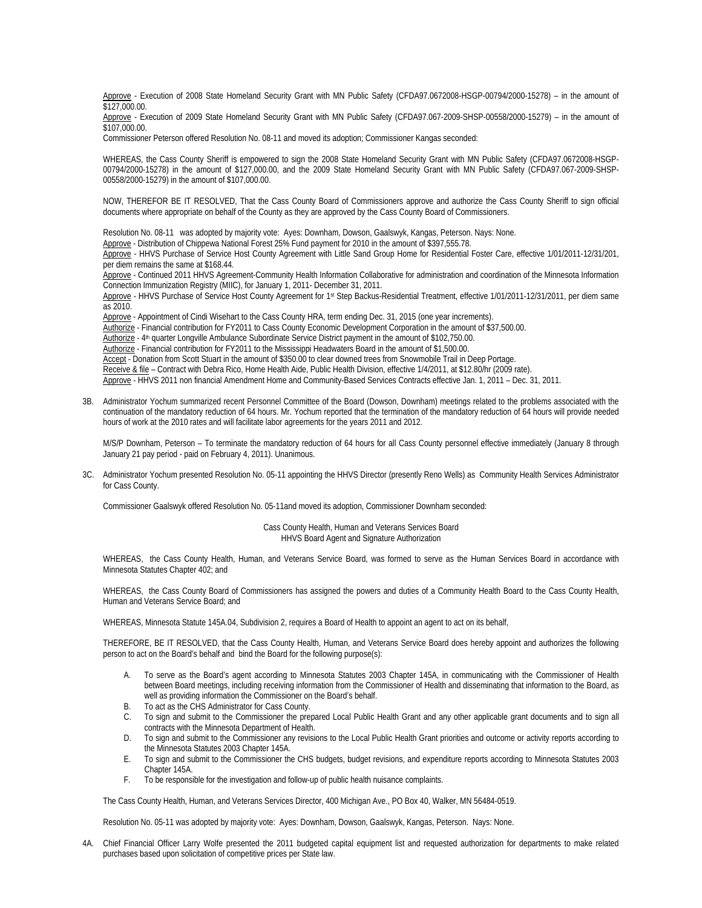Approve - Execution of 2008 State Homeland Security Grant with MN Public Safety (CFDA97.0672008-HSGP-00794/2000-15278) – in the amount of  $$127,000.00.$ 

Approve - Execution of 2009 State Homeland Security Grant with MN Public Safety (CFDA97.067-2009-SHSP-00558/2000-15279) – in the amount of \$107,000.00.

Commissioner Peterson offered Resolution No. 08-11 and moved its adoption; Commissioner Kangas seconded:

WHEREAS, the Cass County Sheriff is empowered to sign the 2008 State Homeland Security Grant with MN Public Safety (CFDA97.0672008-HSGP-00794/2000-15278) in the amount of \$127,000.00, and the 2009 State Homeland Security Grant with MN Public Safety (CFDA97.067-2009-SHSP-00558/2000-15279) in the amount of \$107,000.00.

NOW, THEREFOR BE IT RESOLVED, That the Cass County Board of Commissioners approve and authorize the Cass County Sheriff to sign official documents where appropriate on behalf of the County as they are approved by the Cass County Board of Commissioners.

Resolution No. 08-11 was adopted by majority vote: Ayes: Downham, Dowson, Gaalswyk, Kangas, Peterson. Nays: None.

Approve - Distribution of Chippewa National Forest 25% Fund payment for 2010 in the amount of \$397,555.78.

 Approve - HHVS Purchase of Service Host County Agreement with Little Sand Group Home for Residential Foster Care, effective 1/01/2011-12/31/201, per diem remains the same at \$168.44.

Approve - Continued 2011 HHVS Agreement-Community Health Information Collaborative for administration and coordination of the Minnesota Information Connection Immunization Registry (MIIC), for January 1, 2011- December 31, 2011.

Approve - HHVS Purchase of Service Host County Agreement for 1st Step Backus-Residential Treatment, effective 1/01/2011-12/31/2011, per diem same as 2010.

Approve - Appointment of Cindi Wisehart to the Cass County HRA, term ending Dec. 31, 2015 (one year increments).

Authorize - Financial contribution for FY2011 to Cass County Economic Development Corporation in the amount of \$37,500.00.

Authorize - 4th quarter Longville Ambulance Subordinate Service District payment in the amount of \$102,750.00.

Authorize - Financial contribution for FY2011 to the Mississippi Headwaters Board in the amount of \$1,500.00.

Accept - Donation from Scott Stuart in the amount of \$350.00 to clear downed trees from Snowmobile Trail in Deep Portage.

Receive & file – Contract with Debra Rico, Home Health Aide, Public Health Division, effective 1/4/2011, at \$12.80/hr (2009 rate).

Approve - HHVS 2011 non financial Amendment Home and Community-Based Services Contracts effective Jan. 1, 2011 – Dec. 31, 2011.

3B. Administrator Yochum summarized recent Personnel Committee of the Board (Dowson, Downham) meetings related to the problems associated with the continuation of the mandatory reduction of 64 hours. Mr. Yochum reported that the termination of the mandatory reduction of 64 hours will provide needed hours of work at the 2010 rates and will facilitate labor agreements for the years 2011 and 2012.

 M/S/P Downham, Peterson – To terminate the mandatory reduction of 64 hours for all Cass County personnel effective immediately (January 8 through January 21 pay period - paid on February 4, 2011). Unanimous.

3C. Administrator Yochum presented Resolution No. 05-11 appointing the HHVS Director (presently Reno Wells) as Community Health Services Administrator for Cass County.

Commissioner Gaalswyk offered Resolution No. 05-11and moved its adoption, Commissioner Downham seconded:

Cass County Health, Human and Veterans Services Board HHVS Board Agent and Signature Authorization

WHEREAS, the Cass County Health, Human, and Veterans Service Board, was formed to serve as the Human Services Board in accordance with Minnesota Statutes Chapter 402; and

WHEREAS, the Cass County Board of Commissioners has assigned the powers and duties of a Community Health Board to the Cass County Health, Human and Veterans Service Board; and

WHEREAS, Minnesota Statute 145A.04, Subdivision 2, requires a Board of Health to appoint an agent to act on its behalf,

THEREFORE, BE IT RESOLVED, that the Cass County Health, Human, and Veterans Service Board does hereby appoint and authorizes the following person to act on the Board's behalf and bind the Board for the following purpose(s):

- A. To serve as the Board's agent according to Minnesota Statutes 2003 Chapter 145A, in communicating with the Commissioner of Health between Board meetings, including receiving information from the Commissioner of Health and disseminating that information to the Board, as well as providing information the Commissioner on the Board's behalf.
- B. To act as the CHS Administrator for Cass County.
- C. To sign and submit to the Commissioner the prepared Local Public Health Grant and any other applicable grant documents and to sign all contracts with the Minnesota Department of Health.
- D. To sign and submit to the Commissioner any revisions to the Local Public Health Grant priorities and outcome or activity reports according to the Minnesota Statutes 2003 Chapter 145A.
- E. To sign and submit to the Commissioner the CHS budgets, budget revisions, and expenditure reports according to Minnesota Statutes 2003 Chapter 145A.
- F. To be responsible for the investigation and follow-up of public health nuisance complaints.

The Cass County Health, Human, and Veterans Services Director, 400 Michigan Ave., PO Box 40, Walker, MN 56484-0519.

Resolution No. 05-11 was adopted by majority vote: Ayes: Downham, Dowson, Gaalswyk, Kangas, Peterson. Nays: None.

4A. Chief Financial Officer Larry Wolfe presented the 2011 budgeted capital equipment list and requested authorization for departments to make related purchases based upon solicitation of competitive prices per State law.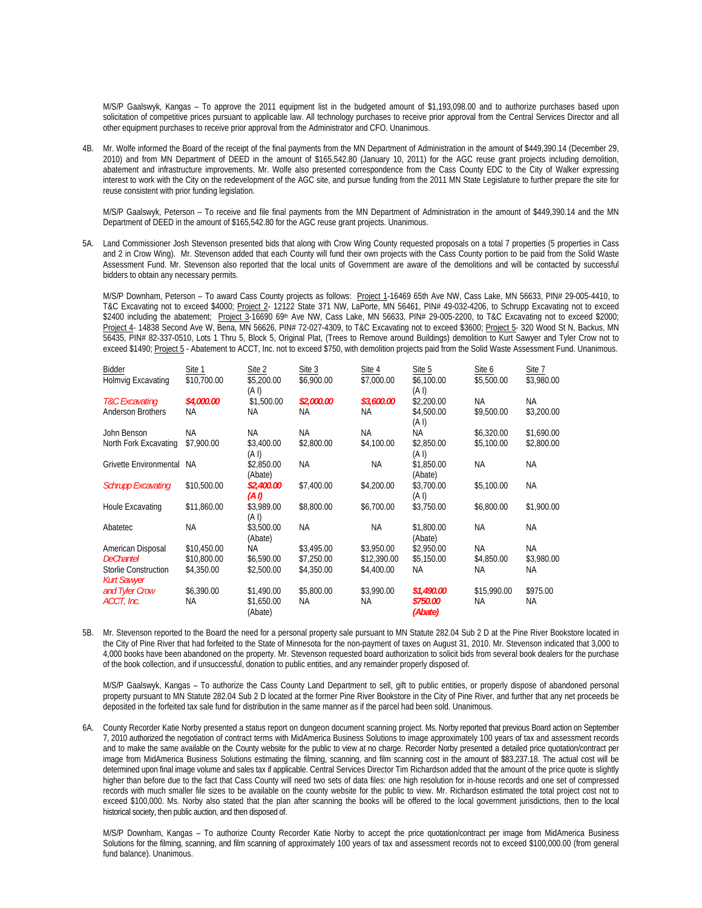M/S/P Gaalswyk, Kangas – To approve the 2011 equipment list in the budgeted amount of \$1,193,098.00 and to authorize purchases based upon solicitation of competitive prices pursuant to applicable law. All technology purchases to receive prior approval from the Central Services Director and all other equipment purchases to receive prior approval from the Administrator and CFO. Unanimous.

4B. Mr. Wolfe informed the Board of the receipt of the final payments from the MN Department of Administration in the amount of \$449,390.14 (December 29, 2010) and from MN Department of DEED in the amount of \$165,542.80 (January 10, 2011) for the AGC reuse grant projects including demolition, abatement and infrastructure improvements. Mr. Wolfe also presented correspondence from the Cass County EDC to the City of Walker expressing interest to work with the City on the redevelopment of the AGC site, and pursue funding from the 2011 MN State Legislature to further prepare the site for reuse consistent with prior funding legislation.

M/S/P Gaalswyk, Peterson – To receive and file final payments from the MN Department of Administration in the amount of \$449,390.14 and the MN Department of DEED in the amount of \$165,542.80 for the AGC reuse grant projects. Unanimous.

5A. Land Commissioner Josh Stevenson presented bids that along with Crow Wing County requested proposals on a total 7 properties (5 properties in Cass and 2 in Crow Wing). Mr. Stevenson added that each County will fund their own projects with the Cass County portion to be paid from the Solid Waste Assessment Fund. Mr. Stevenson also reported that the local units of Government are aware of the demolitions and will be contacted by successful bidders to obtain any necessary permits.

M/S/P Downham, Peterson - To award Cass County projects as follows: Project 1-16469 65th Ave NW, Cass Lake, MN 56633, PIN# 29-005-4410, to T&C Excavating not to exceed \$4000; Project 2- 12122 State 371 NW, LaPorte, MN 56461, PIN# 49-032-4206, to Schrupp Excavating not to exceed \$2400 including the abatement; Project 3-16690 69th Ave NW, Cass Lake, MN 56633, PIN# 29-005-2200, to T&C Excavating not to exceed \$2000; Project 4- 14838 Second Ave W, Bena, MN 56626, PIN# 72-027-4309, to T&C Excavating not to exceed \$3600; Project 5- 320 Wood St N, Backus, MN 56435, PIN# 82-337-0510, Lots 1 Thru 5, Block 5, Original Plat, (Trees to Remove around Buildings) demolition to Kurt Sawyer and Tyler Crow not to exceed \$1490; Project 5 - Abatement to ACCT, Inc. not to exceed \$750, with demolition projects paid from the Solid Waste Assessment Fund. Unanimous.

| Bidder                                            | Site 1      | Site 2                | Site 3     | Site 4      | Site 5                     | Site 6      | Site 7     |
|---------------------------------------------------|-------------|-----------------------|------------|-------------|----------------------------|-------------|------------|
| Holmvig Excavating                                | \$10,700.00 | \$5,200.00<br>(A I)   | \$6,900.00 | \$7,000.00  | \$6,100.00<br>(A I)        | \$5,500.00  | \$3,980.00 |
| T&C Excavating                                    | \$4,000.00  | \$1,500.00            | \$2,000.00 | \$3,600.00  | \$2,200.00                 | NA          | NA         |
| Anderson Brothers                                 | ΝA          | NA                    | ΝA         | NA          | \$4,500.00<br>(A I)        | \$9,500.00  | \$3,200.00 |
| John Benson                                       | <b>NA</b>   | <b>NA</b>             | ΝA         | <b>NA</b>   | ΝA                         | \$6,320.00  | \$1,690.00 |
| North Fork Excavating                             | \$7,900.00  | \$3,400.00<br>(A I)   | \$2,800.00 | \$4,100.00  | \$2,850.00<br>(A I)        | \$5,100.00  | \$2,800.00 |
| Grivette Environmental                            | NA.         | \$2,850.00<br>(Abate) | <b>NA</b>  | <b>NA</b>   | \$1,850.00<br>(Abate)      | <b>NA</b>   | NA         |
| <b>Schrupp Excavating</b>                         | \$10,500.00 | \$2,400.00<br>(A I)   | \$7,400.00 | \$4,200.00  | \$3,700.00<br>(A I)        | \$5,100.00  | <b>NA</b>  |
| Houle Excavating                                  | \$11,860.00 | \$3,989.00<br>(A I)   | \$8,800.00 | \$6,700.00  | \$3.750.00                 | \$6,800.00  | \$1,900.00 |
| Abatetec                                          | ΝA          | \$3,500.00<br>(Abate) | NА         | <b>NA</b>   | \$1,800.00<br>(Abate)      | <b>NA</b>   | <b>NA</b>  |
| American Disposal                                 | \$10,450.00 | ΝA                    | \$3,495.00 | \$3,950.00  | \$2,950.00                 | <b>NA</b>   | NA.        |
| <b>DeChantel</b>                                  | \$10,800.00 | \$6,590.00            | \$7,250.00 | \$12,390.00 | \$5,150.00                 | \$4,850.00  | \$3,980.00 |
| <b>Storlie Construction</b><br><b>Kurt Sawyer</b> | \$4,350.00  | \$2,500.00            | \$4,350.00 | \$4,400.00  | ΝA                         | ΝA          | ΝA         |
| and Tyler Crow                                    | \$6,390.00  | \$1,490.00            | \$5,800.00 | \$3,990.00  | \$1,490.00                 | \$15,990.00 | \$975.00   |
| ACCT, Inc.                                        | NА          | \$1,650.00<br>(Abate) | ΝA         | NA.         | <i>\$750.00</i><br>(Abate) | <b>NA</b>   | NA.        |

5B. Mr. Stevenson reported to the Board the need for a personal property sale pursuant to MN Statute 282.04 Sub 2 D at the Pine River Bookstore located in the City of Pine River that had forfeited to the State of Minnesota for the non-payment of taxes on August 31, 2010. Mr. Stevenson indicated that 3,000 to 4,000 books have been abandoned on the property. Mr. Stevenson requested board authorization to solicit bids from several book dealers for the purchase of the book collection, and if unsuccessful, donation to public entities, and any remainder properly disposed of.

M/S/P Gaalswyk, Kangas – To authorize the Cass County Land Department to sell, gift to public entities, or properly dispose of abandoned personal property pursuant to MN Statute 282.04 Sub 2 D located at the former Pine River Bookstore in the City of Pine River, and further that any net proceeds be deposited in the forfeited tax sale fund for distribution in the same manner as if the parcel had been sold. Unanimous.

6A. County Recorder Katie Norby presented a status report on dungeon document scanning project. Ms. Norby reported that previous Board action on September 7, 2010 authorized the negotiation of contract terms with MidAmerica Business Solutions to image approximately 100 years of tax and assessment records and to make the same available on the County website for the public to view at no charge. Recorder Norby presented a detailed price quotation/contract per image from MidAmerica Business Solutions estimating the filming, scanning, and film scanning cost in the amount of \$83,237.18. The actual cost will be determined upon final image volume and sales tax if applicable. Central Services Director Tim Richardson added that the amount of the price quote is slightly higher than before due to the fact that Cass County will need two sets of data files: one high resolution for in-house records and one set of compressed records with much smaller file sizes to be available on the county website for the public to view. Mr. Richardson estimated the total project cost not to exceed \$100,000. Ms. Norby also stated that the plan after scanning the books will be offered to the local government jurisdictions, then to the local historical society, then public auction, and then disposed of.

M/S/P Downham, Kangas – To authorize County Recorder Katie Norby to accept the price quotation/contract per image from MidAmerica Business Solutions for the filming, scanning, and film scanning of approximately 100 years of tax and assessment records not to exceed \$100,000.00 (from general fund balance). Unanimous.